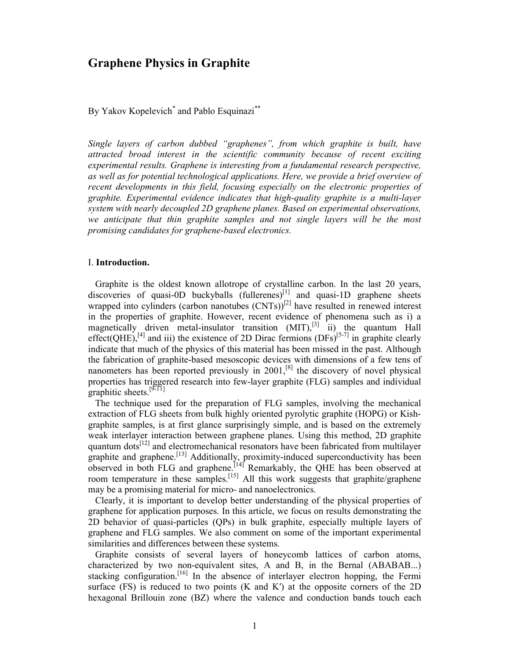# Graphene Physics in Graphite

By Yakov Kopelevich<sup>\*</sup> and Pablo Esquinazi<sup>\*\*</sup>

Single layers of carbon dubbed "graphenes", from which graphite is built, have attracted broad interest in the scientific community because of recent exciting experimental results. Graphene is interesting from a fundamental research perspective, as well as for potential technological applications. Here, we provide a brief overview of recent developments in this field, focusing especially on the electronic properties of graphite. Experimental evidence indicates that high-quality graphite is a multi-layer system with nearly decoupled 2D graphene planes. Based on experimental observations, we anticipate that thin graphite samples and not single layers will be the most promising candidates for graphene-based electronics.

## I. Introduction.

 Graphite is the oldest known allotrope of crystalline carbon. In the last 20 years, discoveries of quasi-0D buckyballs  $(fullerenes)^{[1]}$  and quasi-1D graphene sheets wrapped into cylinders (carbon nanotubes  $(CNTs)$ <sup>[2]</sup> have resulted in renewed interest in the properties of graphite. However, recent evidence of phenomena such as i) a magnetically driven metal-insulator transition  $(MIT)$ , <sup>[3]</sup> ii) the quantum Hall effect(QHE),<sup>[4]</sup> and iii) the existence of 2D Dirac fermions (DFs)<sup>[5-7]</sup> in graphite clearly indicate that much of the physics of this material has been missed in the past. Although the fabrication of graphite-based mesoscopic devices with dimensions of a few tens of nanometers has been reported previously in  $2001$ ,<sup>[8]</sup> the discovery of novel physical properties has triggered research into few-layer graphite (FLG) samples and individual graphitic sheets.<sup>[9-11]</sup>

 The technique used for the preparation of FLG samples, involving the mechanical extraction of FLG sheets from bulk highly oriented pyrolytic graphite (HOPG) or Kishgraphite samples, is at first glance surprisingly simple, and is based on the extremely weak interlayer interaction between graphene planes. Using this method, 2D graphite quantum dots<sup>[12]</sup> and electromechanical resonators have been fabricated from multilayer graphite and graphene.<sup>[13]</sup> Additionally, proximity-induced superconductivity has been observed in both FLG and graphene.<sup>[14]</sup> Remarkably, the QHE has been observed at room temperature in these samples.<sup>[15]</sup> All this work suggests that graphite/graphene may be a promising material for micro- and nanoelectronics.

 Clearly, it is important to develop better understanding of the physical properties of graphene for application purposes. In this article, we focus on results demonstrating the 2D behavior of quasi-particles (QPs) in bulk graphite, especially multiple layers of graphene and FLG samples. We also comment on some of the important experimental similarities and differences between these systems.

 Graphite consists of several layers of honeycomb lattices of carbon atoms, characterized by two non-equivalent sites, A and B, in the Bernal (ABABAB...) stacking configuration.<sup>[16]</sup> In the absence of interlayer electron hopping, the Fermi surface  $(FS)$  is reduced to two points  $(K$  and  $K'$ ) at the opposite corners of the 2D hexagonal Brillouin zone (BZ) where the valence and conduction bands touch each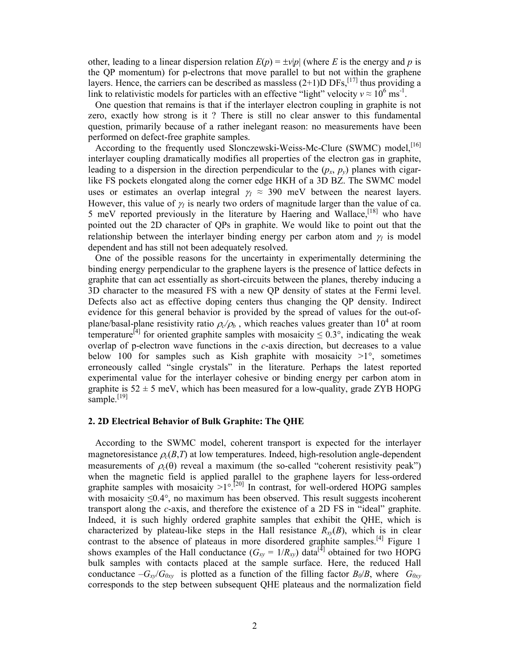other, leading to a linear dispersion relation  $E(p) = \pm v|p|$  (where E is the energy and p is the QP momentum) for p-electrons that move parallel to but not within the graphene layers. Hence, the carriers can be described as massless  $(2+1)D$  DFs,<sup>[17]</sup> thus providing a link to relativistic models for particles with an effective "light" velocity  $v \approx 10^6$  ms<sup>-1</sup>.

 One question that remains is that if the interlayer electron coupling in graphite is not zero, exactly how strong is it ? There is still no clear answer to this fundamental question, primarily because of a rather inelegant reason: no measurements have been performed on defect-free graphite samples.

According to the frequently used Slonczewski-Weiss-Mc-Clure (SWMC) model.<sup>[16]</sup> interlayer coupling dramatically modifies all properties of the electron gas in graphite, leading to a dispersion in the direction perpendicular to the  $(p_x, p_y)$  planes with cigarlike FS pockets elongated along the corner edge HKH of a 3D BZ. The SWMC model uses or estimates an overlap integral  $\gamma_1 \approx 390$  meV between the nearest layers. However, this value of  $\gamma_1$  is nearly two orders of magnitude larger than the value of ca. 5 meV reported previously in the literature by Haering and Wallace,<sup>[18]</sup> who have pointed out the 2D character of QPs in graphite. We would like to point out that the relationship between the interlayer binding energy per carbon atom and  $\gamma_1$  is model dependent and has still not been adequately resolved.

 One of the possible reasons for the uncertainty in experimentally determining the binding energy perpendicular to the graphene layers is the presence of lattice defects in graphite that can act essentially as short-circuits between the planes, thereby inducing a 3D character to the measured FS with a new QP density of states at the Fermi level. Defects also act as effective doping centers thus changing the QP density. Indirect evidence for this general behavior is provided by the spread of values for the out-ofplane/basal-plane resistivity ratio  $\rho_c/\rho_b$ , which reaches values greater than 10<sup>4</sup> at room temperature<sup>[4]</sup> for oriented graphite samples with mosaicity  $\leq 0.3^{\circ}$ , indicating the weak overlap of p-electron wave functions in the c-axis direction, but decreases to a value below 100 for samples such as Kish graphite with mosaicity  $>1^{\circ}$ , sometimes erroneously called "single crystals" in the literature. Perhaps the latest reported experimental value for the interlayer cohesive or binding energy per carbon atom in graphite is  $52 \pm 5$  meV, which has been measured for a low-quality, grade ZYB HOPG sample.<sup>[19]</sup>

### 2. 2D Electrical Behavior of Bulk Graphite: The QHE

 According to the SWMC model, coherent transport is expected for the interlayer magnetoresistance  $\rho_c(B,T)$  at low temperatures. Indeed, high-resolution angle-dependent measurements of  $\rho_c(\theta)$  reveal a maximum (the so-called "coherent resistivity peak") when the magnetic field is applied parallel to the graphene layers for less-ordered graphite samples with mosaicity  $>1^\circ$ .<sup>[20]</sup> In contrast, for well-ordered HOPG samples with mosaicity ≤0.4°, no maximum has been observed. This result suggests incoherent transport along the c-axis, and therefore the existence of a 2D FS in "ideal" graphite. Indeed, it is such highly ordered graphite samples that exhibit the QHE, which is characterized by plateau-like steps in the Hall resistance  $R_{xx}(B)$ , which is in clear contrast to the absence of plateaus in more disordered graphite samples.<sup>[4]</sup> Figure 1 shows examples of the Hall conductance  $(G_{xy} = 1/R_{xy})$  data<sup>[4]</sup> obtained for two HOPG bulk samples with contacts placed at the sample surface. Here, the reduced Hall conductance  $-G_{xx}/G_{0xy}$  is plotted as a function of the filling factor  $B_0/B$ , where  $G_{0xy}$ corresponds to the step between subsequent QHE plateaus and the normalization field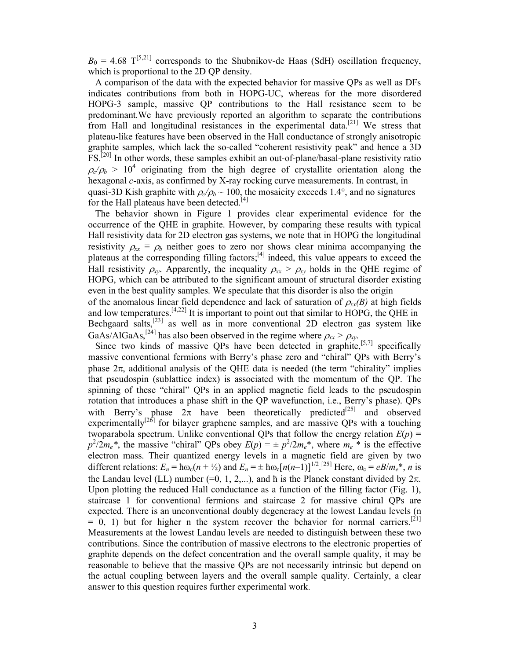$B_0 = 4.68$  T<sup>[5,21]</sup> corresponds to the Shubnikov-de Haas (SdH) oscillation frequency, which is proportional to the 2D QP density.

 A comparison of the data with the expected behavior for massive QPs as well as DFs indicates contributions from both in HOPG-UC, whereas for the more disordered HOPG-3 sample, massive QP contributions to the Hall resistance seem to be predominant.We have previously reported an algorithm to separate the contributions from Hall and longitudinal resistances in the experimental data.<sup>[21]</sup> We stress that plateau-like features have been observed in the Hall conductance of strongly anisotropic graphite samples, which lack the so-called "coherent resistivity peak" and hence a 3D FS.[20] In other words, these samples exhibit an out-of-plane/basal-plane resistivity ratio  $\rho_c/\rho_b > 10^4$  originating from the high degree of crystallite orientation along the hexagonal *c*-axis, as confirmed by X-ray rocking curve measurements. In contrast, in quasi-3D Kish graphite with  $\rho_c/\rho_b \sim 100$ , the mosaicity exceeds 1.4°, and no signatures for the Hall plateaus have been detected.<sup>[4]</sup>

 The behavior shown in Figure 1 provides clear experimental evidence for the occurrence of the QHE in graphite. However, by comparing these results with typical Hall resistivity data for 2D electron gas systems, we note that in HOPG the longitudinal resistivity  $\rho_{xx} \equiv \rho_b$  neither goes to zero nor shows clear minima accompanying the plateaus at the corresponding filling factors;<sup>[4]</sup> indeed, this value appears to exceed the Hall resistivity  $\rho_{xy}$ . Apparently, the inequality  $\rho_{xx} > \rho_{xy}$  holds in the QHE regime of HOPG, which can be attributed to the significant amount of structural disorder existing even in the best quality samples. We speculate that this disorder is also the origin of the anomalous linear field dependence and lack of saturation of  $\rho_{xx}(B)$  at high fields

and low temperatures.<sup>[4,22]</sup> It is important to point out that similar to  $\widehat{HOPG}$ , the QHE in Bechgaard salts,<sup>[23]</sup> as well as in more conventional 2D electron gas system like GaAs/AlGaAs,<sup>[24]</sup> has also been observed in the regime where  $\rho_{xx} > \rho_{xy}$ .

Since two kinds of massive QPs have been detected in graphite,<sup>[5,7]</sup> specifically massive conventional fermions with Berry's phase zero and "chiral" QPs with Berry's phase  $2\pi$ , additional analysis of the QHE data is needed (the term "chirality" implies that pseudospin (sublattice index) is associated with the momentum of the QP. The spinning of these "chiral" QPs in an applied magnetic field leads to the pseudospin rotation that introduces a phase shift in the QP wavefunction, i.e., Berry's phase). QPs with Berry's phase  $2\pi$  have been theoretically predicted<sup>[25]</sup> and observed experimentally $[26]$  for bilayer graphene samples, and are massive QPs with a touching twoparabola spectrum. Unlike conventional QPs that follow the energy relation  $E(p)$  =  $p^2/2m_e^*$ , the massive "chiral" QPs obey  $E(p) = \pm p^2/2m_e^*$ , where  $m_e^*$  is the effective electron mass. Their quantized energy levels in a magnetic field are given by two different relations:  $E_n = \hbar \omega_c (n + \frac{1}{2})$  and  $E_n = \pm \hbar \omega_c [n(n-1)]^{1/2}$ . [25] Here,  $\omega_c = eB/m_e^*$ , *n* is the Landau level (LL) number (=0, 1, 2,...), and  $\hbar$  is the Planck constant divided by  $2\pi$ . Upon plotting the reduced Hall conductance as a function of the filling factor (Fig. 1), staircase 1 for conventional fermions and staircase 2 for massive chiral QPs are expected. There is an unconventional doubly degeneracy at the lowest Landau levels (n  $= 0$ , 1) but for higher n the system recover the behavior for normal carriers.<sup>[21]</sup> Measurements at the lowest Landau levels are needed to distinguish between these two contributions. Since the contribution of massive electrons to the electronic properties of graphite depends on the defect concentration and the overall sample quality, it may be reasonable to believe that the massive QPs are not necessarily intrinsic but depend on the actual coupling between layers and the overall sample quality. Certainly, a clear answer to this question requires further experimental work.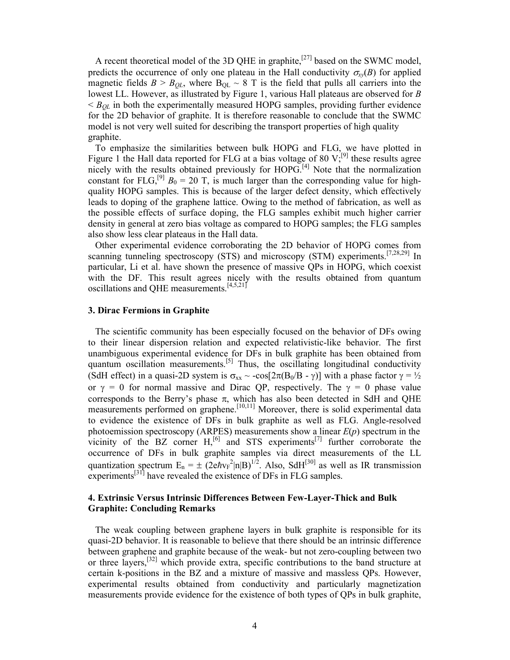A recent theoretical model of the 3D QHE in graphite,<sup>[27]</sup> based on the SWMC model, predicts the occurrence of only one plateau in the Hall conductivity  $\sigma_{xy}(B)$  for applied magnetic fields  $B > B_{OL}$ , where  $B_{OL} \sim 8$  T is the field that pulls all carriers into the lowest LL. However, as illustrated by Figure 1, various Hall plateaus are observed for B  $\leq B_{QL}$  in both the experimentally measured HOPG samples, providing further evidence for the 2D behavior of graphite. It is therefore reasonable to conclude that the SWMC model is not very well suited for describing the transport properties of high quality graphite.

 To emphasize the similarities between bulk HOPG and FLG, we have plotted in Figure 1 the Hall data reported for FLG at a bias voltage of 80  $V$ ;<sup>[9]</sup> these results agree nicely with the results obtained previously for HOPG.<sup>[4]</sup> Note that the normalization constant for FLG,<sup>[9]</sup>  $B_0 = 20$  T, is much larger than the corresponding value for highquality HOPG samples. This is because of the larger defect density, which effectively leads to doping of the graphene lattice. Owing to the method of fabrication, as well as the possible effects of surface doping, the FLG samples exhibit much higher carrier density in general at zero bias voltage as compared to HOPG samples; the FLG samples also show less clear plateaus in the Hall data.

 Other experimental evidence corroborating the 2D behavior of HOPG comes from scanning tunneling spectroscopy (STS) and microscopy (STM) experiments.<sup>[7,28,29]</sup> In particular, Li et al. have shown the presence of massive QPs in HOPG, which coexist with the DF. This result agrees nicely with the results obtained from quantum oscillations and QHE measurements.[4,5,21]

#### 3. Dirac Fermions in Graphite

 The scientific community has been especially focused on the behavior of DFs owing to their linear dispersion relation and expected relativistic-like behavior. The first unambiguous experimental evidence for DFs in bulk graphite has been obtained from quantum oscillation measurements.<sup>[5]</sup> Thus, the oscillating longitudinal conductivity (SdH effect) in a quasi-2D system is  $\sigma_{xx} \sim -\cos[2\pi(B_0/B - \gamma)]$  with a phase factor  $\gamma = \frac{1}{2}$ or  $\gamma = 0$  for normal massive and Dirac QP, respectively. The  $\gamma = 0$  phase value corresponds to the Berry's phase  $\pi$ , which has also been detected in SdH and QHE measurements performed on graphene.<sup>[10,11]</sup> Moreover, there is solid experimental data to evidence the existence of DFs in bulk graphite as well as FLG. Angle-resolved photoemission spectroscopy (ARPES) measurements show a linear  $E(p)$  spectrum in the vicinity of the BZ corner  $H$ <sup>[6]</sup> and STS experiments<sup>[7]</sup> further corroborate the occurrence of DFs in bulk graphite samples via direct measurements of the LL quantization spectrum  $E_n = \pm (2e\hbar v_F^2 |n|B)^{1/2}$ . Also, SdH<sup>[30]</sup> as well as IR transmission experiments<sup>[31]</sup> have revealed the existence of DFs in FLG samples.

## 4. Extrinsic Versus Intrinsic Differences Between Few-Layer-Thick and Bulk Graphite: Concluding Remarks

 The weak coupling between graphene layers in bulk graphite is responsible for its quasi-2D behavior. It is reasonable to believe that there should be an intrinsic difference between graphene and graphite because of the weak- but not zero-coupling between two or three layers,  $[32]$  which provide extra, specific contributions to the band structure at certain k-positions in the BZ and a mixture of massive and massless QPs. However, experimental results obtained from conductivity and particularly magnetization measurements provide evidence for the existence of both types of QPs in bulk graphite,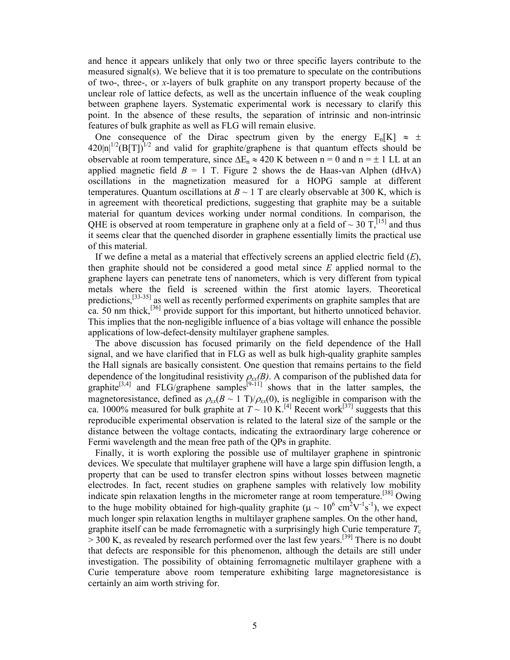and hence it appears unlikely that only two or three specific layers contribute to the measured signal(s). We believe that it is too premature to speculate on the contributions of two-, three-, or x-layers of bulk graphite on any transport property because of the unclear role of lattice defects, as well as the uncertain influence of the weak coupling between graphene layers. Systematic experimental work is necessary to clarify this point. In the absence of these results, the separation of intrinsic and non-intrinsic features of bulk graphite as well as FLG will remain elusive.

One consequence of the Dirac spectrum given by the energy  $E_n[K] \approx \pm$  $420\text{ln}^{1/2}(\text{B}[T])^{1/2}$  and valid for graphite/graphene is that quantum effects should be observable at room temperature, since  $\Delta E_n \approx 420$  K between n = 0 and n = ± 1 LL at an applied magnetic field  $B = 1$  T. Figure 2 shows the de Haas-van Alphen (dHvA) oscillations in the magnetization measured for a HOPG sample at different temperatures. Quantum oscillations at  $B \sim 1$  T are clearly observable at 300 K, which is in agreement with theoretical predictions, suggesting that graphite may be a suitable material for quantum devices working under normal conditions. In comparison, the QHE is observed at room temperature in graphene only at a field of  $\sim$  30 T,<sup>[15]</sup> and thus it seems clear that the quenched disorder in graphene essentially limits the practical use of this material.

If we define a metal as a material that effectively screens an applied electric field  $(E)$ , then graphite should not be considered a good metal since  $E$  applied normal to the graphene layers can penetrate tens of nanometers, which is very different from typical metals where the field is screened within the first atomic layers. Theoretical predictions,<sup>[33-35]</sup> as well as recently performed experiments on graphite samples that are ca. 50 nm thick,<sup>[36]</sup> provide support for this important, but hitherto unnoticed behavior. This implies that the non-negligible influence of a bias voltage will enhance the possible applications of low-defect-density multilayer graphene samples.

 The above discussion has focused primarily on the field dependence of the Hall signal, and we have clarified that in FLG as well as bulk high-quality graphite samples the Hall signals are basically consistent. One question that remains pertains to the field dependence of the longitudinal resistivity  $\rho_{xx}(B)$ . A comparison of the published data for graphite<sup>[3,4]</sup> and FLG/graphene samples<sup>[9-11]</sup> shows that in the latter samples, the magnetoresistance, defined as  $\rho_{xx}(B \sim 1 \text{ T})/\rho_{xx}(0)$ , is negligible in comparison with the ca. 1000% measured for bulk graphite at  $T \sim 10 \text{ K}$ .<sup>[4]</sup> Recent work<sup>[37]</sup> suggests that this reproducible experimental observation is related to the lateral size of the sample or the distance between the voltage contacts, indicating the extraordinary large coherence or Fermi wavelength and the mean free path of the QPs in graphite.

 Finally, it is worth exploring the possible use of multilayer graphene in spintronic devices. We speculate that multilayer graphene will have a large spin diffusion length, a property that can be used to transfer electron spins without losses between magnetic electrodes. In fact, recent studies on graphene samples with relatively low mobility indicate spin relaxation lengths in the micrometer range at room temperature.[38] Owing to the huge mobility obtained for high-quality graphite ( $\mu \sim 10^6$  cm<sup>2</sup>V<sup>-1</sup>s<sup>-1</sup>), we expect much longer spin relaxation lengths in multilayer graphene samples. On the other hand, graphite itself can be made ferromagnetic with a surprisingly high Curie temperature  $T_c$  $> 300$  K, as revealed by research performed over the last few years.<sup>[39]</sup> There is no doubt that defects are responsible for this phenomenon, although the details are still under investigation. The possibility of obtaining ferromagnetic multilayer graphene with a Curie temperature above room temperature exhibiting large magnetoresistance is certainly an aim worth striving for.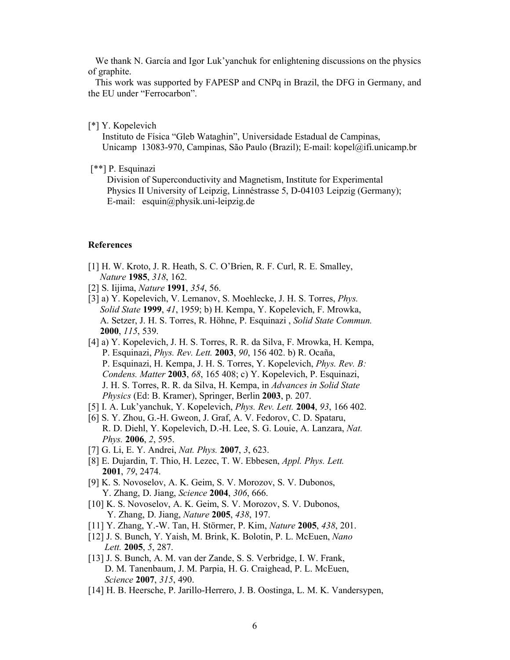We thank N. García and Igor Luk'yanchuk for enlightening discussions on the physics of graphite.

 This work was supported by FAPESP and CNPq in Brazil, the DFG in Germany, and the EU under "Ferrocarbon".

#### [\*] Y. Kopelevich

 Instituto de Física "Gleb Wataghin", Universidade Estadual de Campinas, Unicamp 13083-970, Campinas, São Paulo (Brazil); E-mail: kopel@ifi.unicamp.br

# [\*\*] P. Esquinazi

 Division of Superconductivity and Magnetism, Institute for Experimental Physics II University of Leipzig, Linnéstrasse 5, D-04103 Leipzig (Germany); E-mail: esquin@physik.uni-leipzig.de

#### References

- [1] H. W. Kroto, J. R. Heath, S. C. O'Brien, R. F. Curl, R. E. Smalley, Nature 1985, 318, 162.
- [2] S. Iijima, *Nature* **1991**, 354, 56.
- [3] a) Y. Kopelevich, V. Lemanov, S. Moehlecke, J. H. S. Torres, Phys. Solid State 1999, 41, 1959; b) H. Kempa, Y. Kopelevich, F. Mrowka, A. Setzer, J. H. S. Torres, R. Höhne, P. Esquinazi , Solid State Commun. 2000, 115, 539.
- [4] a) Y. Kopelevich, J. H. S. Torres, R. R. da Silva, F. Mrowka, H. Kempa, P. Esquinazi, Phys. Rev. Lett. 2003, 90, 156 402. b) R. Ocaña, P. Esquinazi, H. Kempa, J. H. S. Torres, Y. Kopelevich, Phys. Rev. B: Condens. Matter 2003, 68, 165 408; c) Y. Kopelevich, P. Esquinazi, J. H. S. Torres, R. R. da Silva, H. Kempa, in Advances in Solid State Physics (Ed: B. Kramer), Springer, Berlin 2003, p. 207.
- [5] I. A. Luk'yanchuk, Y. Kopelevich, *Phys. Rev. Lett.* **2004**, 93, 166 402.
- [6] S. Y. Zhou, G.-H. Gweon, J. Graf, A. V. Fedorov, C. D. Spataru, R. D. Diehl, Y. Kopelevich, D.-H. Lee, S. G. Louie, A. Lanzara, Nat. Phys. 2006, 2, 595.
- [7] G. Li, E. Y. Andrei, *Nat. Phys.* **2007**, 3, 623.
- [8] E. Dujardin, T. Thio, H. Lezec, T. W. Ebbesen, Appl. Phys. Lett. 2001, 79, 2474.
- [9] K. S. Novoselov, A. K. Geim, S. V. Morozov, S. V. Dubonos, Y. Zhang, D. Jiang, Science 2004, 306, 666.
- [10] K. S. Novoselov, A. K. Geim, S. V. Morozov, S. V. Dubonos, Y. Zhang, D. Jiang, Nature 2005, 438, 197.
- [11] Y. Zhang, Y.-W. Tan, H. Störmer, P. Kim, Nature 2005, 438, 201.
- [12] J. S. Bunch, Y. Yaish, M. Brink, K. Bolotin, P. L. McEuen, Nano Lett. 2005, 5, 287.
- [13] J. S. Bunch, A. M. van der Zande, S. S. Verbridge, I. W. Frank, D. M. Tanenbaum, J. M. Parpia, H. G. Craighead, P. L. McEuen, Science 2007, 315, 490.
- [14] H. B. Heersche, P. Jarillo-Herrero, J. B. Oostinga, L. M. K. Vandersypen,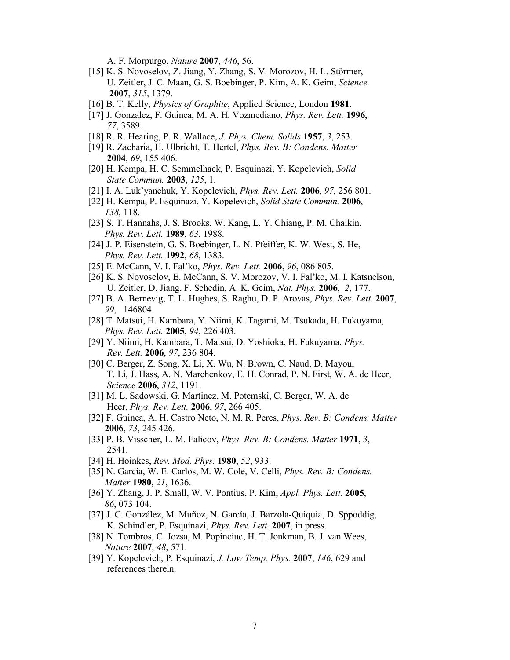A. F. Morpurgo, Nature 2007, 446, 56.

- [15] K. S. Novoselov, Z. Jiang, Y. Zhang, S. V. Morozov, H. L. Störmer, U. Zeitler, J. C. Maan, G. S. Boebinger, P. Kim, A. K. Geim, Science 2007, 315, 1379.
- [16] B. T. Kelly, *Physics of Graphite*, Applied Science, London 1981.
- [17] J. Gonzalez, F. Guinea, M. A. H. Vozmediano, *Phys. Rev. Lett.* 1996, 77, 3589.
- [18] R. R. Hearing, P. R. Wallace, *J. Phys. Chem. Solids* 1957, 3, 253.
- [19] R. Zacharia, H. Ulbricht, T. Hertel, Phys. Rev. B: Condens. Matter 2004, 69, 155 406.
- [20] H. Kempa, H. C. Semmelhack, P. Esquinazi, Y. Kopelevich, Solid State Commun. 2003, 125, 1.
- [21] I. A. Luk'yanchuk, Y. Kopelevich, *Phys. Rev. Lett.* **2006**, 97, 256 801.
- [22] H. Kempa, P. Esquinazi, Y. Kopelevich, Solid State Commun. 2006, 138, 118.
- [23] S. T. Hannahs, J. S. Brooks, W. Kang, L. Y. Chiang, P. M. Chaikin, Phys. Rev. Lett. 1989, 63, 1988.
- [24] J. P. Eisenstein, G. S. Boebinger, L. N. Pfeiffer, K. W. West, S. He, Phys. Rev. Lett. **1992**, 68, 1383.
- [25] E. McCann, V. I. Fal'ko, *Phys. Rev. Lett.* **2006**, 96, 086 805.
- [26] K. S. Novoselov, E. McCann, S. V. Morozov, V. I. Fal'ko, M. I. Katsnelson, U. Zeitler, D. Jiang, F. Schedin, A. K. Geim, Nat. Phys. 2006, 2, 177.
- [27] B. A. Bernevig, T. L. Hughes, S. Raghu, D. P. Arovas, Phys. Rev. Lett. 2007, 99, 146804.
- [28] T. Matsui, H. Kambara, Y. Niimi, K. Tagami, M. Tsukada, H. Fukuyama, Phys. Rev. Lett. 2005, 94, 226 403.
- [29] Y. Niimi, H. Kambara, T. Matsui, D. Yoshioka, H. Fukuyama, Phys. Rev. Lett. 2006, 97, 236 804.
- [30] C. Berger, Z. Song, X. Li, X. Wu, N. Brown, C. Naud, D. Mayou, T. Li, J. Hass, A. N. Marchenkov, E. H. Conrad, P. N. First, W. A. de Heer, Science 2006, 312, 1191.
- [31] M. L. Sadowski, G. Martinez, M. Potemski, C. Berger, W. A. de Heer, Phys. Rev. Lett. 2006, 97, 266 405.
- [32] F. Guinea, A. H. Castro Neto, N. M. R. Peres, Phys. Rev. B: Condens. Matter 2006, 73, 245 426.
- [33] P. B. Visscher, L. M. Falicov, *Phys. Rev. B: Condens. Matter* 1971, 3, 2541.
- [34] H. Hoinkes, Rev. Mod. Phys. **1980**, 52, 933.
- [35] N. García, W. E. Carlos, M. W. Cole, V. Celli, *Phys. Rev. B: Condens.* Matter 1980, 21, 1636.
- [36] Y. Zhang, J. P. Small, W. V. Pontius, P. Kim, Appl. Phys. Lett. 2005, 86, 073 104.
- [37] J. C. González, M. Muñoz, N. García, J. Barzola-Quiquia, D. Sppoddig, K. Schindler, P. Esquinazi, Phys. Rev. Lett. 2007, in press.
- [38] N. Tombros, C. Jozsa, M. Popinciuc, H. T. Jonkman, B. J. van Wees, Nature 2007, 48, 571.
- [39] Y. Kopelevich, P. Esquinazi, J. Low Temp. Phys. 2007, 146, 629 and references therein.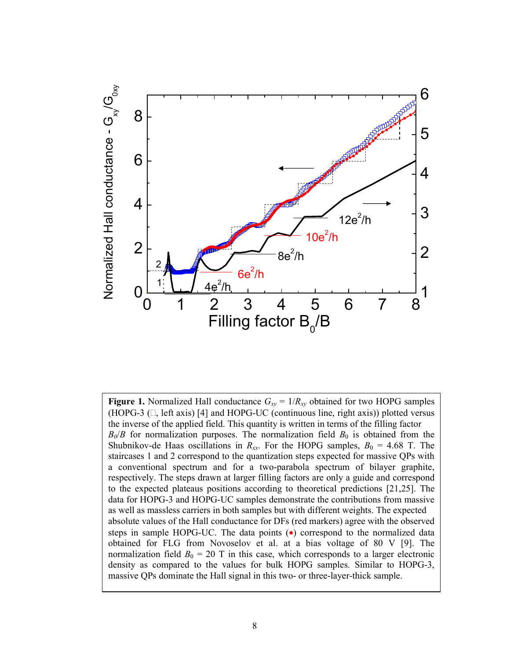

Figure 1. Normalized Hall conductance  $G_{xy} = 1/R_{xy}$  obtained for two HOPG samples (HOPG-3  $(\Box, \text{ left axis})$  [4] and HOPG-UC (continuous line, right axis)) plotted versus the inverse of the applied field. This quantity is written in terms of the filling factor  $B_0/B$  for normalization purposes. The normalization field  $B_0$  is obtained from the Shubnikov-de Haas oscillations in  $R_{xx}$ . For the HOPG samples,  $B_0 = 4.68$  T. The staircases 1 and 2 correspond to the quantization steps expected for massive QPs with a conventional spectrum and for a two-parabola spectrum of bilayer graphite, respectively. The steps drawn at larger filling factors are only a guide and correspond to the expected plateaus positions according to theoretical predictions [21,25]. The data for HOPG-3 and HOPG-UC samples demonstrate the contributions from massive as well as massless carriers in both samples but with different weights. The expected absolute values of the Hall conductance for DFs (red markers) agree with the observed steps in sample HOPG-UC. The data points (•) correspond to the normalized data obtained for FLG from Novoselov et al. at a bias voltage of 80 V [9]. The normalization field  $B_0 = 20$  T in this case, which corresponds to a larger electronic density as compared to the values for bulk HOPG samples. Similar to HOPG-3, massive QPs dominate the Hall signal in this two- or three-layer-thick sample.